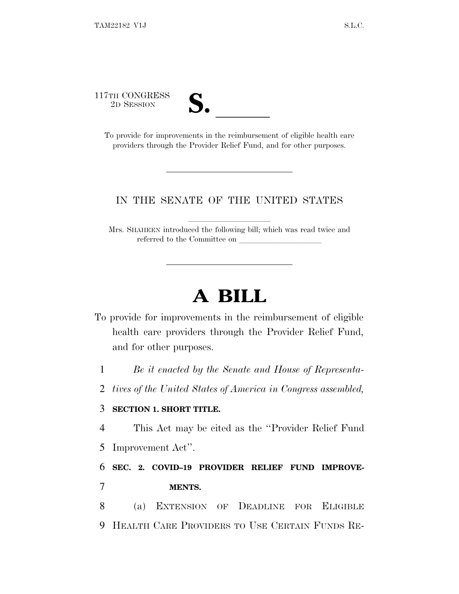117TH CONGRESS



TH CONGRESS<br>
2D SESSION<br>
To provide for improvements in the reimbursement of eligible health care providers through the Provider Relief Fund, and for other purposes.

## IN THE SENATE OF THE UNITED STATES

Mrs. SHAHEEN introduced the following bill; which was read twice and referred to the Committee on

## **A BILL**

To provide for improvements in the reimbursement of eligible health care providers through the Provider Relief Fund, and for other purposes.

1 *Be it enacted by the Senate and House of Representa-*

2 *tives of the United States of America in Congress assembled,*

## 3 **SECTION 1. SHORT TITLE.**

4 This Act may be cited as the ''Provider Relief Fund

5 Improvement Act''.

6 **SEC. 2. COVID–19 PROVIDER RELIEF FUND IMPROVE-**7 **MENTS.**

8 (a) EXTENSION OF DEADLINE FOR ELIGIBLE 9 HEALTH CARE PROVIDERS TO USE CERTAIN FUNDS RE-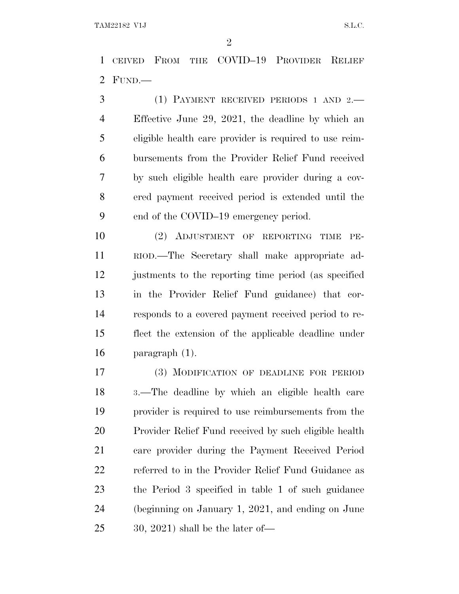CEIVED FROM THE COVID–19 PROVIDER RELIEF FUND.—

 (1) PAYMENT RECEIVED PERIODS 1 AND 2.— Effective June 29, 2021, the deadline by which an eligible health care provider is required to use reim- bursements from the Provider Relief Fund received by such eligible health care provider during a cov- ered payment received period is extended until the end of the COVID–19 emergency period.

 (2) ADJUSTMENT OF REPORTING TIME PE- RIOD.—The Secretary shall make appropriate ad- justments to the reporting time period (as specified in the Provider Relief Fund guidance) that cor- responds to a covered payment received period to re- flect the extension of the applicable deadline under paragraph (1).

 (3) MODIFICATION OF DEADLINE FOR PERIOD <sup>3</sup>.—The deadline by which an eligible health care provider is required to use reimbursements from the Provider Relief Fund received by such eligible health care provider during the Payment Received Period referred to in the Provider Relief Fund Guidance as the Period 3 specified in table 1 of such guidance (beginning on January 1, 2021, and ending on June 30, 2021) shall be the later of—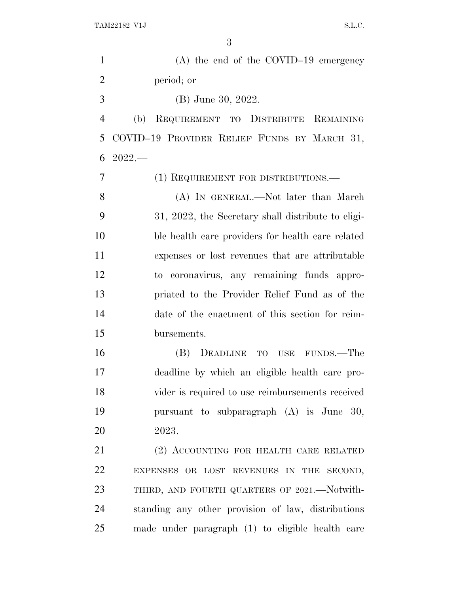| $(A)$ the end of the COVID-19 emergency            |
|----------------------------------------------------|
| period; or                                         |
| (B) June 30, 2022.                                 |
| REQUIREMENT TO DISTRIBUTE REMAINING<br>(b)         |
| COVID-19 PROVIDER RELIEF FUNDS BY MARCH 31,        |
| $2022-$                                            |
| (1) REQUIREMENT FOR DISTRIBUTIONS.—                |
| (A) IN GENERAL.—Not later than March               |
| 31, 2022, the Secretary shall distribute to eligi- |
| ble health care providers for health care related  |
| expenses or lost revenues that are attributable    |
| to coronavirus, any remaining funds appro-         |
| priated to the Provider Relief Fund as of the      |
| date of the enactment of this section for reim-    |
| bursements.                                        |
| (B) DEADLINE TO USE FUNDS.—The                     |
| deadline by which an eligible health care pro-     |
| vider is required to use reimbursements received   |
| pursuant to subparagraph (A) is June 30,           |
| 2023.                                              |
| (2) ACCOUNTING FOR HEALTH CARE RELATED             |
| EXPENSES OR LOST REVENUES IN THE SECOND,           |
| THIRD, AND FOURTH QUARTERS OF 2021.—Notwith-       |
| standing any other provision of law, distributions |
| made under paragraph (1) to eligible health care   |
|                                                    |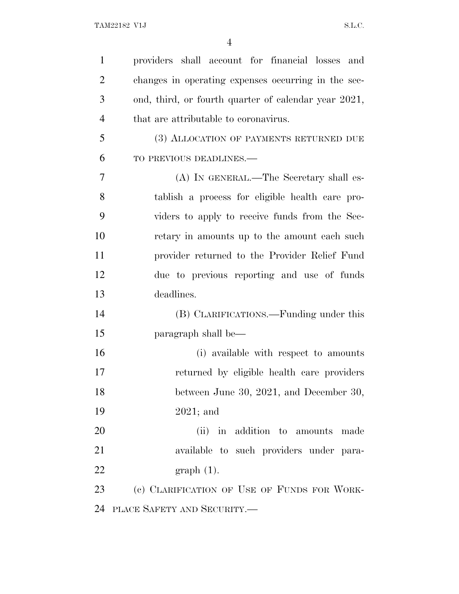| 1              | providers shall account for financial losses and     |
|----------------|------------------------------------------------------|
| $\overline{2}$ | changes in operating expenses occurring in the sec-  |
| 3              | ond, third, or fourth quarter of calendar year 2021, |
| $\overline{4}$ | that are attributable to coronavirus.                |
| 5              | (3) ALLOCATION OF PAYMENTS RETURNED DUE              |
| 6              | TO PREVIOUS DEADLINES.-                              |
| 7              | (A) IN GENERAL.—The Secretary shall es-              |
| 8              | tablish a process for eligible health care pro-      |
| 9              | viders to apply to receive funds from the Sec-       |
| 10             | retary in amounts up to the amount each such         |
| 11             | provider returned to the Provider Relief Fund        |
| 12             | due to previous reporting and use of funds           |
| 13             | deadlines.                                           |
| 14             | (B) CLARIFICATIONS.—Funding under this               |
| 15             | paragraph shall be—                                  |
| 16             |                                                      |
|                | (i) available with respect to amounts                |
| 17             | returned by eligible health care providers           |
| 18             | between June 30, 2021, and December 30,              |
| 19             | $2021$ ; and                                         |
| 20             | (ii) in addition to amounts made                     |
| 21             | available to such providers under para-              |
| 22             | $graph(1)$ .                                         |
| 23             | (c) CLARIFICATION OF USE OF FUNDS FOR WORK-          |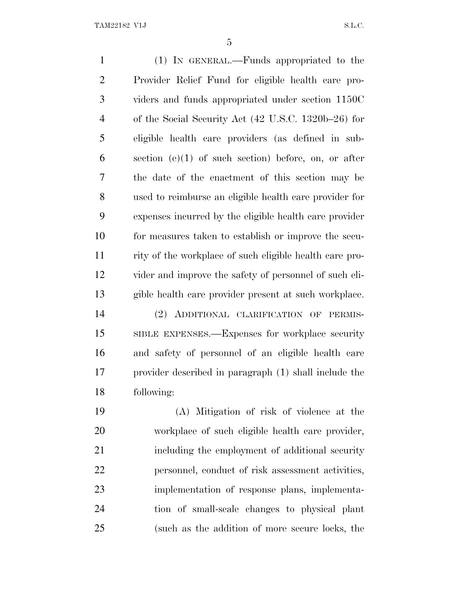(1) IN GENERAL.—Funds appropriated to the Provider Relief Fund for eligible health care pro- viders and funds appropriated under section 1150C of the Social Security Act (42 U.S.C. 1320b–26) for eligible health care providers (as defined in sub- section (e)(1) of such section) before, on, or after the date of the enactment of this section may be used to reimburse an eligible health care provider for expenses incurred by the eligible health care provider for measures taken to establish or improve the secu- rity of the workplace of such eligible health care pro- vider and improve the safety of personnel of such eli- gible health care provider present at such workplace. (2) ADDITIONAL CLARIFICATION OF PERMIS- SIBLE EXPENSES.—Expenses for workplace security and safety of personnel of an eligible health care provider described in paragraph (1) shall include the following: (A) Mitigation of risk of violence at the workplace of such eligible health care provider, including the employment of additional security personnel, conduct of risk assessment activities,

 implementation of response plans, implementa- tion of small-scale changes to physical plant (such as the addition of more secure locks, the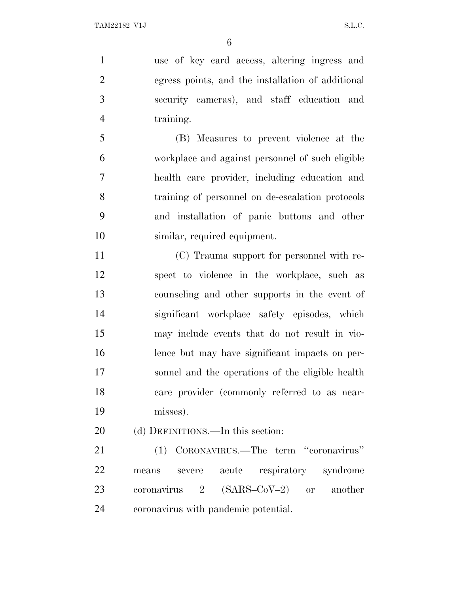use of key card access, altering ingress and egress points, and the installation of additional security cameras), and staff education and training.

 (B) Measures to prevent violence at the workplace and against personnel of such eligible health care provider, including education and training of personnel on de-escalation protocols and installation of panic buttons and other similar, required equipment.

 (C) Trauma support for personnel with re- spect to violence in the workplace, such as counseling and other supports in the event of significant workplace safety episodes, which may include events that do not result in vio- lence but may have significant impacts on per- sonnel and the operations of the eligible health care provider (commonly referred to as near-misses).

20 (d) DEFINITIONS.—In this section:

 (1) CORONAVIRUS.—The term ''coronavirus'' means severe acute respiratory syndrome coronavirus 2 (SARS–CoV–2) or another coronavirus with pandemic potential.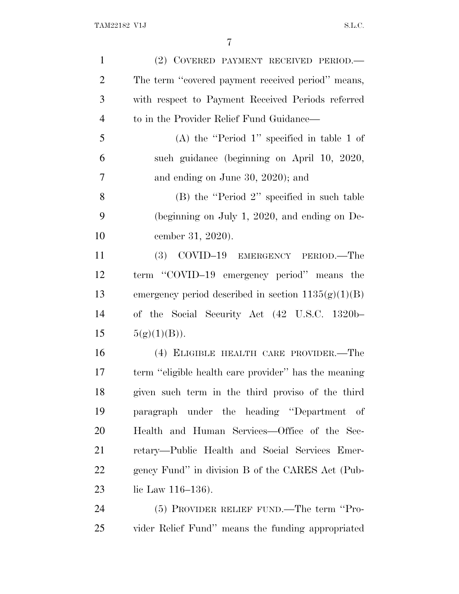| $\mathbf{1}$   | (2) COVERED PAYMENT RECEIVED PERIOD.-                 |
|----------------|-------------------------------------------------------|
| $\overline{2}$ | The term "covered payment received period" means,     |
| 3              | with respect to Payment Received Periods referred     |
| $\overline{4}$ | to in the Provider Relief Fund Guidance—              |
| 5              | (A) the "Period 1" specified in table 1 of            |
| 6              | such guidance (beginning on April 10, 2020,           |
| 7              | and ending on June 30, 2020); and                     |
| 8              | $(B)$ the "Period 2" specified in such table          |
| 9              | (beginning on July 1, 2020, and ending on $De-$       |
| 10             | cember 31, 2020).                                     |
| 11             | (3) COVID-19 EMERGENCY PERIOD.—The                    |
| 12             | term "COVID-19 emergency period" means the            |
| 13             | emergency period described in section $1135(g)(1)(B)$ |
| 14             | of the Social Security Act (42 U.S.C. 1320b-          |
| 15             | 5(g)(1)(B)).                                          |
| 16             | (4) ELIGIBLE HEALTH CARE PROVIDER.-The                |
| 17             | term "eligible health care provider" has the meaning  |
| 18             | given such term in the third proviso of the third     |
| 19             | paragraph under the heading "Department of            |
| <b>20</b>      | Health and Human Services—Office of the Sec-          |
| 21             | retary—Public Health and Social Services Emer-        |
| <u>22</u>      | gency Fund" in division B of the CARES Act (Pub-      |
| 23             | lic Law $116-136$ ).                                  |
| 24             | $(5)$ PROVIDER RELIEF FUND.—The term "Pro-            |

vider Relief Fund'' means the funding appropriated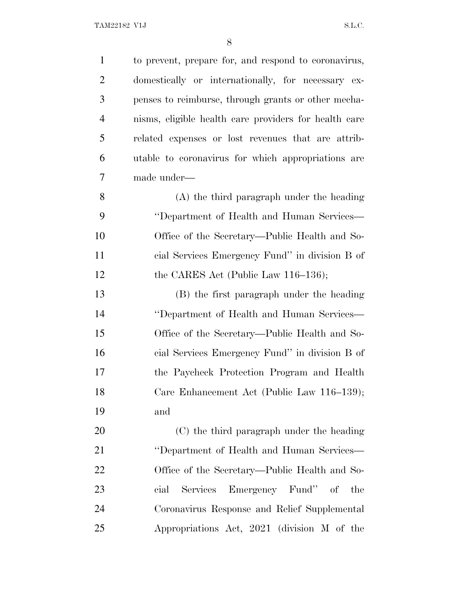| $\mathbf{1}$   | to prevent, prepare for, and respond to coronavirus,  |
|----------------|-------------------------------------------------------|
| $\overline{2}$ | domestically or internationally, for necessary ex-    |
| 3              | penses to reimburse, through grants or other mecha-   |
| $\overline{4}$ | nisms, eligible health care providers for health care |
| 5              | related expenses or lost revenues that are attrib-    |
| 6              | utable to coronavirus for which appropriations are    |
| 7              | made under-                                           |
| 8              | (A) the third paragraph under the heading             |
| 9              | "Department of Health and Human Services—             |
| 10             | Office of the Secretary—Public Health and So-         |
| 11             | cial Services Emergency Fund" in division B of        |
| 12             | the CARES Act (Public Law $116-136$ );                |
| 13             | (B) the first paragraph under the heading             |
| 14             | "Department of Health and Human Services—             |
| 15             | Office of the Secretary—Public Health and So-         |
| 16             | cial Services Emergency Fund" in division B of        |
| 17             | the Paycheck Protection Program and Health            |
| 18             | Care Enhancement Act (Public Law 116-139);            |
| 19             | and                                                   |
| 20             | (C) the third paragraph under the heading             |
| 21             | "Department of Health and Human Services—             |
| <u>22</u>      | Office of the Secretary—Public Health and So-         |
| 23             | Emergency Fund" of<br>Services<br>cial<br>the         |
| 24             | Coronavirus Response and Relief Supplemental          |
| 25             | Appropriations Act, 2021 (division M of the           |